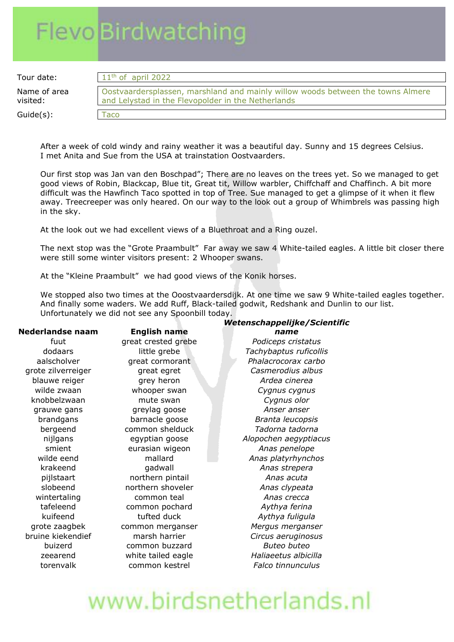# **Flevo Birdwatching**

Tour date:

Name of area visited:  $Guide(s)$ :

| $11th$ of april 2022                                                                                                                  |  |
|---------------------------------------------------------------------------------------------------------------------------------------|--|
| Oostvaardersplassen, marshland and mainly willow woods between the towns Almere<br>and Lelystad in the Flevopolder in the Netherlands |  |
| Taco                                                                                                                                  |  |

After a week of cold windy and rainy weather it was a beautiful day. Sunny and 15 degrees Celsius. I met Anita and Sue from the USA at trainstation Oostvaarders.

Our first stop was Jan van den Boschpad"; There are no leaves on the trees yet. So we managed to get good views of Robin, Blackcap, Blue tit, Great tit, Willow warbler, Chiffchaff and Chaffinch. A bit more difficult was the Hawfinch Taco spotted in top of Tree. Sue managed to get a glimpse of it when it flew away. Treecreeper was only heared. On our way to the look out a group of Whimbrels was passing high in the sky.

At the look out we had excellent views of a Bluethroat and a Ring ouzel.

The next stop was the "Grote Praambult" Far away we saw 4 White-tailed eagles. A little bit closer there were still some winter visitors present: 2 Whooper swans.

At the "Kleine Praambult" we had good views of the Konik horses.

We stopped also two times at the Ooostvaardersdijk. At one time we saw 9 White-tailed eagles together. And finally some waders. We add Ruff, Black-tailed godwit, Redshank and Dunlin to our list. Unfortunately we did not see any Spoonbill today.

#### **Nederlandse naam English name**

blauwe reiger grey heron *Ardea cinerea* wilde zwaan whooper swan *Cygnus cygnus* knobbelzwaan mute swan *Cygnus olor* grauwe gans greylag goose *Anser anser* brandgans barnacle goose *Branta leucopsis* bergeend common shelduck *Tadorna tadorna* smient eurasian wigeon *Anas penelope* krakeend gadwall *Anas strepera* pijlstaart northern pintail *Anas acuta* slobeend northern shoveler *Anas clypeata* wintertaling common teal *Anas crecca* tafeleend common pochard *Aythya ferina* kuifeend tufted duck *Aythya fuligula* buizerd common buzzard *Buteo buteo*

#### *Wetenschappelijke/Scientific name*

fuut great crested grebe *Podiceps cristatus* dodaars little grebe *Tachybaptus ruficollis* aalscholver great cormorant *Phalacrocorax carbo* grote zilverreiger great egret *Casmerodius albus* nijlgans egyptian goose *Alopochen aegyptiacus* wilde eend mallard *Anas platyrhynchos* grote zaagbek common merganser *Mergus merganser* bruine kiekendief marsh harrier *Circus aeruginosus* zeearend white tailed eagle *Haliaeetus albicilla* torenvalk common kestrel *Falco tinnunculus*

## www.birdsnetherlands.nl